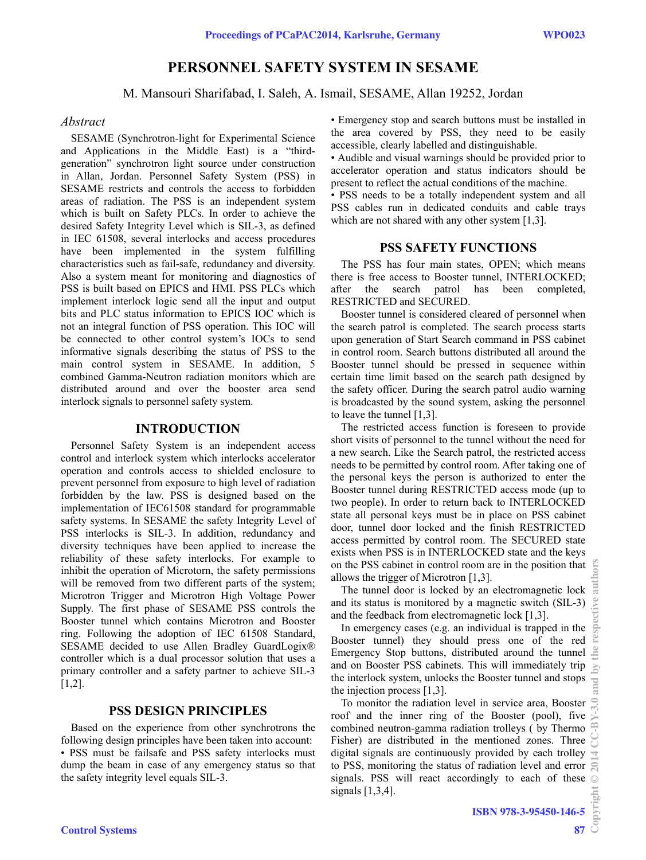# **PERSONNEL SAFETY SYSTEM IN SESAME**

M. Mansouri Sharifabad, I. Saleh, A. Ismail, SESAME, Allan 19252, Jordan

### *Abstract*

SESAME (Synchrotron-light for Experimental Science and Applications in the Middle East) is a "thirdgeneration" synchrotron light source under construction in Allan, Jordan. Personnel Safety System (PSS) in SESAME restricts and controls the access to forbidden areas of radiation. The PSS is an independent system which is built on Safety PLCs. In order to achieve the desired Safety Integrity Level which is SIL-3, as defined in IEC 61508, several interlocks and access procedures have been implemented in the system fulfilling characteristics such as fail-safe, redundancy and diversity. Also a system meant for monitoring and diagnostics of PSS is built based on EPICS and HMI. PSS PLCs which implement interlock logic send all the input and output bits and PLC status information to EPICS IOC which is not an integral function of PSS operation. This IOC will be connected to other control system's IOCs to send informative signals describing the status of PSS to the main control system in SESAME. In addition, 5 combined Gamma-Neutron radiation monitors which are distributed around and over the booster area send interlock signals to personnel safety system.

### **INTRODUCTION**

Personnel Safety System is an independent access control and interlock system which interlocks accelerator operation and controls access to shielded enclosure to prevent personnel from exposure to high level of radiation forbidden by the law. PSS is designed based on the implementation of IEC61508 standard for programmable safety systems. In SESAME the safety Integrity Level of PSS interlocks is SIL-3. In addition, redundancy and diversity techniques have been applied to increase the reliability of these safety interlocks. For example to inhibit the operation of Microtorn, the safety permissions will be removed from two different parts of the system; Microtron Trigger and Microtron High Voltage Power Supply. The first phase of SESAME PSS controls the Booster tunnel which contains Microtron and Booster ring. Following the adoption of IEC 61508 Standard, SESAME decided to use Allen Bradley GuardLogix® controller which is a dual processor solution that uses a primary controller and a safety partner to achieve SIL-3 [1,2].

### **PSS DESIGN PRINCIPLES**

Based on the experience from other synchrotrons the following design principles have been taken into account: • PSS must be failsafe and PSS safety interlocks must dump the beam in case of any emergency status so that the safety integrity level equals SIL-3.

• Emergency stop and search buttons must be installed in the area covered by PSS, they need to be easily accessible, clearly labelled and distinguishable.

• Audible and visual warnings should be provided prior to accelerator operation and status indicators should be present to reflect the actual conditions of the machine.

• PSS needs to be a totally independent system and all PSS cables run in dedicated conduits and cable trays which are not shared with any other system [1,3].

### **PSS SAFETY FUNCTIONS**

The PSS has four main states, OPEN; which means there is free access to Booster tunnel, INTERLOCKED; after the search patrol has been completed, RESTRICTED and SECURED.

Booster tunnel is considered cleared of personnel when the search patrol is completed. The search process starts upon generation of Start Search command in PSS cabinet in control room. Search buttons distributed all around the Booster tunnel should be pressed in sequence within certain time limit based on the search path designed by the safety officer. During the search patrol audio warning is broadcasted by the sound system, asking the personnel to leave the tunnel [1,3].

The restricted access function is foreseen to provide short visits of personnel to the tunnel without the need for a new search. Like the Search patrol, the restricted access needs to be permitted by control room. After taking one of the personal keys the person is authorized to enter the Booster tunnel during RESTRICTED access mode (up to two people). In order to return back to INTERLOCKED state all personal keys must be in place on PSS cabinet door, tunnel door locked and the finish RESTRICTED access permitted by control room. The SECURED state exists when PSS is in INTERLOCKED state and the keys on the PSS cabinet in control room are in the position that  $\frac{10}{10}$ allows the trigger of Microtron [1,3].

The tunnel door is locked by an electromagnetic lock and its status is monitored by a magnetic switch (SIL-3) and the feedback from electromagnetic lock [1,3].

In emergency cases (e.g. an individual is trapped in the Booster tunnel) they should press one of the red Emergency Stop buttons, distributed around the tunnel and on Booster PSS cabinets. This will immediately trip the interlock system, unlocks the Booster tunnel and stops the injection process [1,3].

To monitor the radiation level in service area, Booster roof and the inner ring of the Booster (pool), five combined neutron-gamma radiation trolleys ( by Thermo Fisher) are distributed in the mentioned zones. Three digital signals are continuously provided by each trolley to PSS, monitoring the status of radiation level and error signals. PSS will react accordingly to each of these signals  $[1,3,4]$ .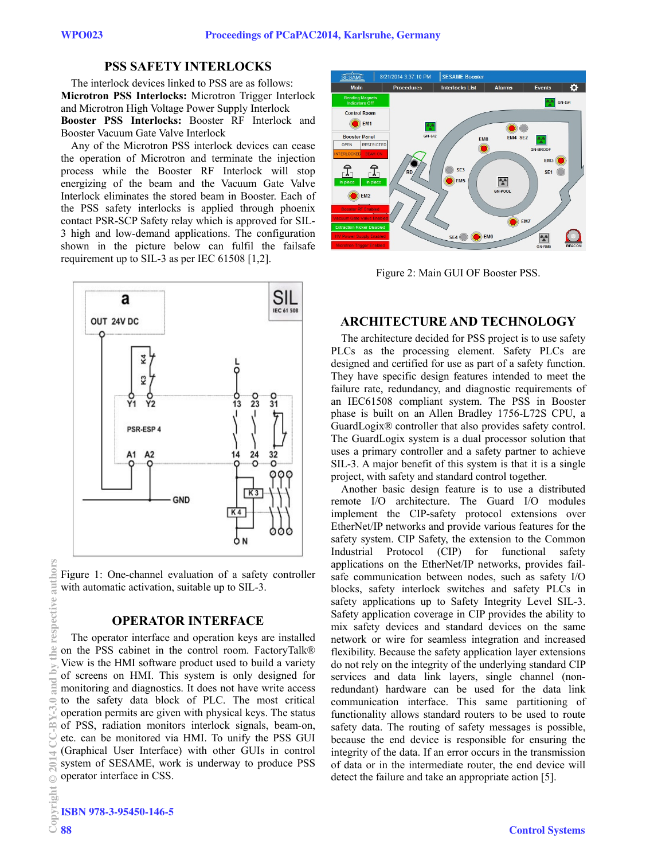### **PSS SAFETY INTERLOCKS**

The interlock devices linked to PSS are as follows: **Microtron PSS Interlocks:** Microtron Trigger Interlock and Microtron High Voltage Power Supply Interlock **Booster PSS Interlocks:** Booster RF Interlock and Booster Vacuum Gate Valve Interlock

Any of the Microtron PSS interlock devices can cease the operation of Microtron and terminate the injection process while the Booster RF Interlock will stop energizing of the beam and the Vacuum Gate Valve Interlock eliminates the stored beam in Booster. Each of the PSS safety interlocks is applied through phoenix contact PSR-SCP Safety relay which is approved for SIL-3 high and low-demand applications. The configuration shown in the picture below can fulfil the failsafe requirement up to SIL-3 as per IEC 61508 [1,2].



Figure 1: One-channel evaluation of a safety controller with automatic activation, suitable up to SIL-3.

# **OPERATOR INTERFACE**

The operator interface and operation keys are installed on the PSS cabinet in the control room. FactoryTalk® View is the HMI software product used to build a variety of screens on HMI. This system is only designed for monitoring and diagnostics. It does not have write access to the safety data block of PLC. The most critical operation permits are given with physical keys. The status of PSS, radiation monitors interlock signals, beam-on, etc. can be monitored via HMI. To unify the PSS GUI (Graphical User Interface) with other GUIs in control system of SESAME, work is underway to produce PSS operator interface in CSS.



Figure 2: Main GUI OF Booster PSS.

### **ARCHITECTURE AND TECHNOLOGY**

The architecture decided for PSS project is to use safety PLCs as the processing element. Safety PLCs are designed and certified for use as part of a safety function. They have specific design features intended to meet the failure rate, redundancy, and diagnostic requirements of an IEC61508 compliant system. The PSS in Booster phase is built on an Allen Bradley 1756-L72S CPU, a GuardLogix® controller that also provides safety control. The GuardLogix system is a dual processor solution that uses a primary controller and a safety partner to achieve SIL-3. A major benefit of this system is that it is a single project, with safety and standard control together.

Another basic design feature is to use a distributed remote I/O architecture. The Guard I/O modules implement the CIP-safety protocol extensions over EtherNet/IP networks and provide various features for the safety system. CIP Safety, the extension to the Common Industrial Protocol (CIP) for functional safety applications on the EtherNet/IP networks, provides failsafe communication between nodes, such as safety I/O blocks, safety interlock switches and safety PLCs in safety applications up to Safety Integrity Level SIL-3. Safety application coverage in CIP provides the ability to mix safety devices and standard devices on the same network or wire for seamless integration and increased flexibility. Because the safety application layer extensions do not rely on the integrity of the underlying standard CIP services and data link layers, single channel (nonredundant) hardware can be used for the data link communication interface. This same partitioning of functionality allows standard routers to be used to route safety data. The routing of safety messages is possible, because the end device is responsible for ensuring the integrity of the data. If an error occurs in the transmission of data or in the intermediate router, the end device will detect the failure and take an appropriate action [5].